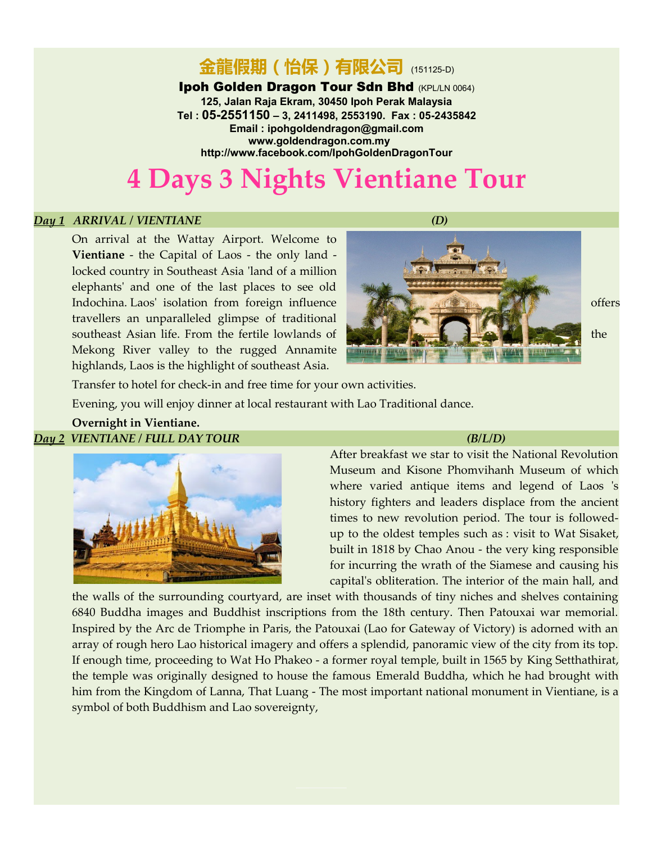## 金龍假期(怡保)有限公司 (151125-D)

#### **Ipoh Golden Dragon Tour Sdn Bhd (KPL/LN 0064)**

**125, Jalan Raja Ekram, 30450 Ipoh Perak Malaysia Tel : 05-2551150 – 3, 2411498, 2553190. Fax : 05-2435842 Email : [ipohgoldendragon@gmail.com](mailto:ipohgoldendragon@gmail.com) [www.goldendragon.com.my](http://www.goldendragon.com.my/)  <http://www.facebook.com/IpohGoldenDragonTour>**

# **4 Days 3 Nights Vientiane Tour**

#### *Day 1 ARRIVAL / VIENTIANE (D)*

On arrival at the Wattay Airport. Welcome to **Vientiane** - the Capital of Laos - the only land locked country in Southeast Asia 'land of a million elephants' and one of the last places to see old Indochina. Laos' isolation from foreign influence and the same offers offers travellers an unparalleled glimpse of traditional southeast Asian life. From the fertile lowlands of the southeast Asian life. From the fertile lowlands of Mekong River valley to the rugged Annamite highlands, Laos is the highlight of southeast Asia.



Transfer to hotel for check-in and free time for your own activities.

Evening, you will enjoy dinner at local restaurant with Lao Traditional dance.

#### **Overnight in Vientiane.** *Day 2 VIENTIANE / FULL DAY TOUR (B/L/D)*



After breakfast we star to visit the National Revolution Museum and Kisone Phomvihanh Museum of which where varied antique items and legend of Laos 's history fighters and leaders displace from the ancient times to new revolution period. The tour is followedup to the oldest temples such as : visit to Wat Sisaket, built in 1818 by Chao Anou - the very king responsible for incurring the wrath of the Siamese and causing his capital's obliteration. The interior of the main hall, and

the walls of the surrounding courtyard, are inset with thousands of tiny niches and shelves containing 6840 Buddha images and Buddhist inscriptions from the 18th century. Then Patouxai war memorial. Inspired by the Arc de Triomphe in Paris, the Patouxai (Lao for Gateway of Victory) is adorned with an array of rough hero Lao historical imagery and offers a splendid, panoramic view of the city from its top. If enough time, proceeding to Wat Ho Phakeo - a former royal temple, built in 1565 by King Setthathirat, the temple was originally designed to house the famous Emerald Buddha, which he had brought with him from the Kingdom of Lanna, That Luang - The most important national monument in Vientiane, is a symbol of both Buddhism and Lao sovereignty,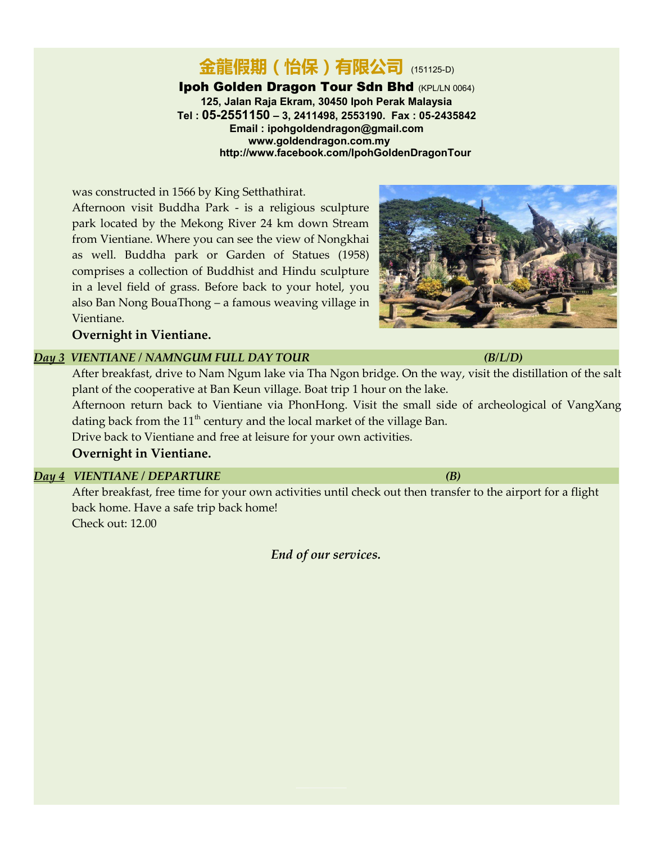#### 金龍假期(怡保)有限公司 (151125-D) **Ipoh Golden Dragon Tour Sdn Bhd (KPL/LN 0064) 125, Jalan Raja Ekram, 30450 Ipoh Perak Malaysia Tel : 05-2551150 – 3, 2411498, 2553190. Fax : 05-2435842 Email : [ipohgoldendragon@gmail.com](mailto:ipohgoldendragon@gmail.com) [www.goldendragon.com.my](http://www.goldendragon.com.my/)  <http://www.facebook.com/IpohGoldenDragonTour>**

was constructed in 1566 by King Setthathirat. Afternoon visit Buddha Park - is a religious sculpture park located by the Mekong River 24 km down Stream from Vientiane. Where you can see the view of Nongkhai as well. Buddha park or Garden of Statues (1958) comprises a collection of Buddhist and Hindu sculpture in a level field of grass. Before back to your hotel, you also Ban Nong BouaThong – a famous weaving village in Vientiane.

**Overnight in Vientiane.** 

## *Day 3 VIENTIANE / NAMNGUM FULL DAY TOUR (B/L/D)*

After breakfast, drive to Nam Ngum lake via Tha Ngon bridge. On the way, visit the distillation of the salt plant of the cooperative at Ban Keun village. Boat trip 1 hour on the lake. Afternoon return back to Vientiane via PhonHong. Visit the small side of archeological of VangXang

dating back from the  $11<sup>th</sup>$  century and the local market of the village Ban.

Drive back to Vientiane and free at leisure for your own activities.

#### **Overnight in Vientiane.**

## *Day 4 VIENTIANE / DEPARTURE (B)*

After breakfast, free time for your own activities until check out then transfer to the airport for a flight back home. Have a safe trip back home! Check out: 12.00

*End of our services.*

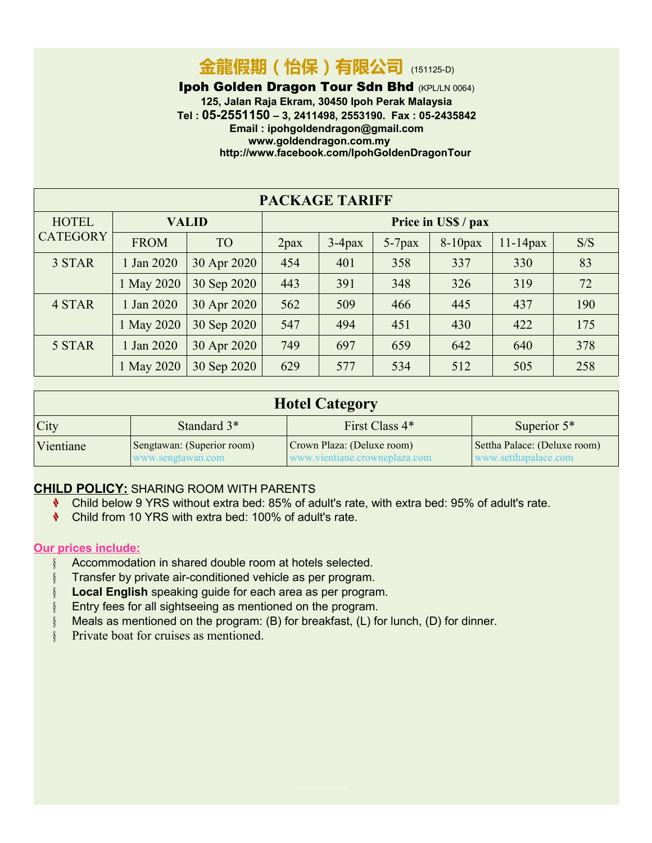# 金龍假期(怡保)有限公司 (151125-D)

**Ipoh Golden Dragon Tour Sdn Bhd (KPL/LN 0064)** 

**125, Jalan Raja Ekram, 30450 Ipoh Perak Malaysia Tel : 05-2551150 – 3, 2411498, 2553190. Fax : 05-2435842 Email : [ipohgoldendragon@gmail.com](mailto:ipohgoldendragon@gmail.com) [www.goldendragon.com.my](http://www.goldendragon.com.my/)  <http://www.facebook.com/IpohGoldenDragonTour>**

| <b>PACKAGE TARIFF</b>           |              |             |                     |           |           |            |             |     |  |
|---------------------------------|--------------|-------------|---------------------|-----------|-----------|------------|-------------|-----|--|
| <b>HOTEL</b><br><b>CATEGORY</b> | <b>VALID</b> |             | Price in US\$ / pax |           |           |            |             |     |  |
|                                 | <b>FROM</b>  | <b>TO</b>   | 2 <sub>max</sub>    | $3-4$ pax | $5-7$ pax | $8-10$ pax | $11-14$ pax | S/S |  |
| 3 STAR                          | 1 Jan 2020   | 30 Apr 2020 | 454                 | 401       | 358       | 337        | 330         | 83  |  |
|                                 | 1 May 2020   | 30 Sep 2020 | 443                 | 391       | 348       | 326        | 319         | 72  |  |
| 4 STAR                          | 1 Jan 2020   | 30 Apr 2020 | 562                 | 509       | 466       | 445        | 437         | 190 |  |
|                                 | 1 May 2020   | 30 Sep 2020 | 547                 | 494       | 451       | 430        | 422         | 175 |  |
| 5 STAR                          | 1 Jan 2020   | 30 Apr 2020 | 749                 | 697       | 659       | 642        | 640         | 378 |  |
|                                 | 1 May 2020   | 30 Sep 2020 | 629                 | 577       | 534       | 512        | 505         | 258 |  |

| <b>Hotel Category</b> |                                                 |                                                              |                                                       |  |  |  |  |
|-----------------------|-------------------------------------------------|--------------------------------------------------------------|-------------------------------------------------------|--|--|--|--|
| City                  | Standard 3 <sup>*</sup>                         | First Class 4*                                               | Superior $5*$                                         |  |  |  |  |
| Vientiane             | Sengtawan: (Superior room)<br>www.sengtawan.com | Crown Plaza: (Deluxe room)<br>www.vientiane.crowneplaza.com/ | Settha Palace: (Deluxe room)<br>www.setthanalace.com/ |  |  |  |  |

## **CHILD POLICY:** SHARING ROOM WITH PARENTS

- Child below 9 YRS without extra bed: 85% of adult's rate, with extra bed: 95% of adult's rate.
- Child from 10 YRS with extra bed: 100% of adult's rate.

#### **Our prices include:**

- Accommodation in shared double room at hotels selected.
- **§** Transfer by private air-conditioned vehicle as per program.
- **Local English** speaking guide for each area as per program.
- Entry fees for all sightseeing as mentioned on the program.
- Meals as mentioned on the program: (B) for breakfast, (L) for lunch, (D) for dinner.
- § Private boat for cruises as mentioned.